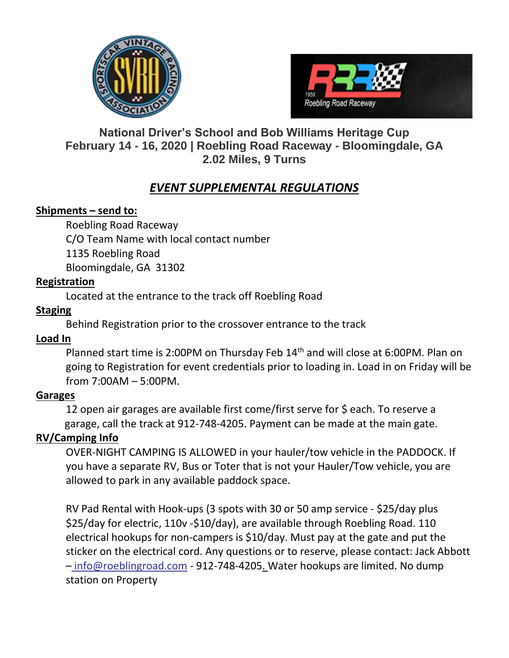



# **National Driver's School and Bob Williams Heritage Cup February 14 - 16, 2020 | Roebling Road Raceway - Bloomingdale, GA 2.02 Miles, 9 Turns**

# *EVENT SUPPLEMENTAL REGULATIONS*

### **Shipments – send to:**

Roebling Road Raceway C/O Team Name with local contact number 1135 Roebling Road Bloomingdale, GA 31302

### **Registration**

Located at the entrance to the track off Roebling Road

## **Staging**

Behind Registration prior to the crossover entrance to the track

## **Load In**

Planned start time is 2:00PM on Thursday Feb 14<sup>th</sup> and will close at 6:00PM. Plan on going to Registration for event credentials prior to loading in. Load in on Friday will be from 7:00AM – 5:00PM.

## **Garages**

12 open air garages are available first come/first serve for \$ each. To reserve a garage, call the track at 912-748-4205. Payment can be made at the main gate.

## **RV/Camping Info**

OVER-NIGHT CAMPING IS ALLOWED in your hauler/tow vehicle in the PADDOCK. If you have a separate RV, Bus or Toter that is not your Hauler/Tow vehicle, you are allowed to park in any available paddock space.

RV Pad Rental with Hook-ups (3 spots with 30 or 50 amp service - \$25/day plus \$25/day for electric, 110v -\$10/day), are available through Roebling Road. 110 electrical hookups for non-campers is \$10/day. Must pay at the gate and put the sticker on the electrical cord. Any questions or to reserve, please contact: Jack Abbott – info@roeblingroad.com - 912-748-4205. Water hookups are limited. No dump station on Property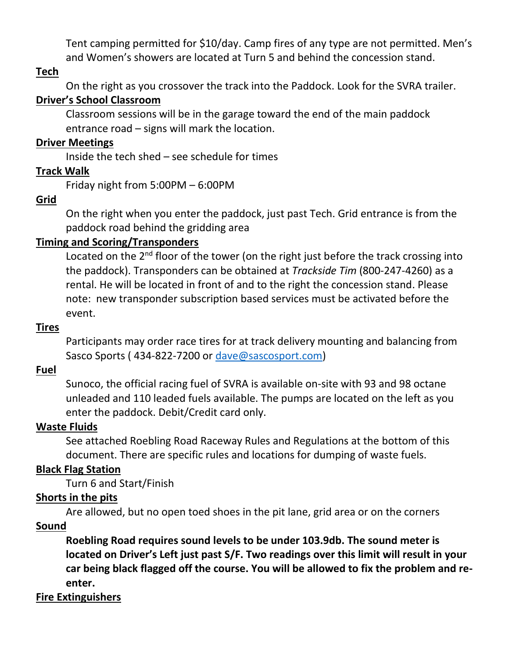Tent camping permitted for \$10/day. Camp fires of any type are not permitted. Men's and Women's showers are located at Turn 5 and behind the concession stand.

### **Tech**

On the right as you crossover the track into the Paddock. Look for the SVRA trailer.

### **Driver's School Classroom**

Classroom sessions will be in the garage toward the end of the main paddock entrance road – signs will mark the location.

### **Driver Meetings**

Inside the tech shed – see schedule for times

### **Track Walk**

Friday night from 5:00PM – 6:00PM

### **Grid**

On the right when you enter the paddock, just past Tech. Grid entrance is from the paddock road behind the gridding area

### **Timing and Scoring/Transponders**

Located on the  $2<sup>nd</sup>$  floor of the tower (on the right just before the track crossing into the paddock). Transponders can be obtained at *Trackside Tim* (800-247-4260) as a rental. He will be located in front of and to the right the concession stand. Please note: new transponder subscription based services must be activated before the event.

#### **Tires**

Participants may order race tires for at track delivery mounting and balancing from Sasco Sports (434-822-7200 or [dave@sascosport.com\)](mailto:dave@sascosport.com)

### **Fuel**

Sunoco, the official racing fuel of SVRA is available on-site with 93 and 98 octane unleaded and 110 leaded fuels available. The pumps are located on the left as you enter the paddock. Debit/Credit card only.

#### **Waste Fluids**

See attached Roebling Road Raceway Rules and Regulations at the bottom of this document. There are specific rules and locations for dumping of waste fuels.

### **Black Flag Station**

Turn 6 and Start/Finish

### **Shorts in the pits**

Are allowed, but no open toed shoes in the pit lane, grid area or on the corners

### **Sound**

**Roebling Road requires sound levels to be under 103.9db. The sound meter is located on Driver's Left just past S/F. Two readings over this limit will result in your car being black flagged off the course. You will be allowed to fix the problem and reenter.**

### **Fire Extinguishers**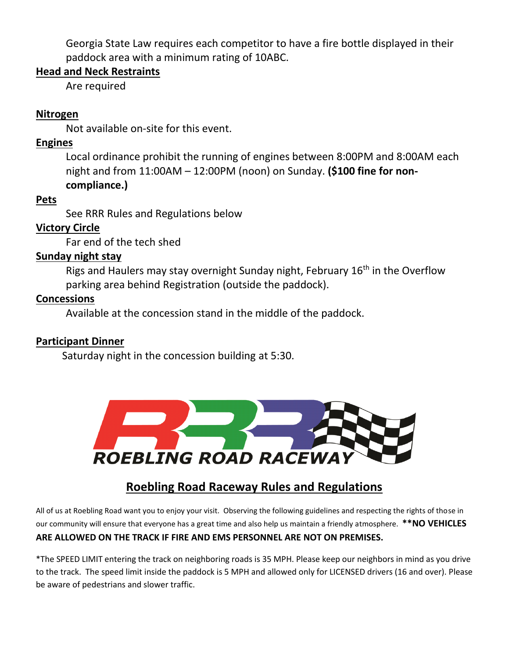Georgia State Law requires each competitor to have a fire bottle displayed in their paddock area with a minimum rating of 10ABC.

### **Head and Neck Restraints**

Are required

### **Nitrogen**

Not available on-site for this event.

### **Engines**

Local ordinance prohibit the running of engines between 8:00PM and 8:00AM each night and from 11:00AM – 12:00PM (noon) on Sunday. **(\$100 fine for noncompliance.)**

### **Pets**

See RRR Rules and Regulations below

## **Victory Circle**

Far end of the tech shed

### **Sunday night stay**

Rigs and Haulers may stay overnight Sunday night, February 16<sup>th</sup> in the Overflow parking area behind Registration (outside the paddock).

### **Concessions**

Available at the concession stand in the middle of the paddock.

## **Participant Dinner**

Saturday night in the concession building at 5:30.



# **Roebling Road Raceway Rules and Regulations**

All of us at Roebling Road want you to enjoy your visit. Observing the following guidelines and respecting the rights of those in our community will ensure that everyone has a great time and also help us maintain a friendly atmosphere. **\*\*NO VEHICLES ARE ALLOWED ON THE TRACK IF FIRE AND EMS PERSONNEL ARE NOT ON PREMISES.** 

\*The SPEED LIMIT entering the track on neighboring roads is 35 MPH. Please keep our neighbors in mind as you drive to the track. The speed limit inside the paddock is 5 MPH and allowed only for LICENSED drivers (16 and over). Please be aware of pedestrians and slower traffic.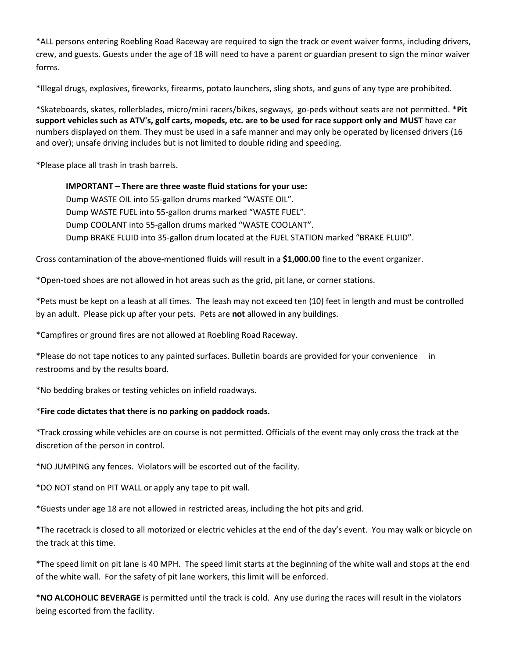\*ALL persons entering Roebling Road Raceway are required to sign the track or event waiver forms, including drivers, crew, and guests. Guests under the age of 18 will need to have a parent or guardian present to sign the minor waiver forms.

\*Illegal drugs, explosives, fireworks, firearms, potato launchers, sling shots, and guns of any type are prohibited.

\*Skateboards, skates, rollerblades, micro/mini racers/bikes, segways, go-peds without seats are not permitted. \***Pit support vehicles such as ATV's, golf carts, mopeds, etc. are to be used for race support only and MUST** have car numbers displayed on them. They must be used in a safe manner and may only be operated by licensed drivers (16 and over); unsafe driving includes but is not limited to double riding and speeding.

\*Please place all trash in trash barrels.

**IMPORTANT – There are three waste fluid stations for your use:** Dump WASTE OIL into 55-gallon drums marked "WASTE OIL". Dump WASTE FUEL into 55-gallon drums marked "WASTE FUEL". Dump COOLANT into 55-gallon drums marked "WASTE COOLANT". Dump BRAKE FLUID into 35-gallon drum located at the FUEL STATION marked "BRAKE FLUID".

Cross contamination of the above-mentioned fluids will result in a **\$1,000.00** fine to the event organizer.

\*Open-toed shoes are not allowed in hot areas such as the grid, pit lane, or corner stations.

\*Pets must be kept on a leash at all times. The leash may not exceed ten (10) feet in length and must be controlled by an adult. Please pick up after your pets. Pets are **not** allowed in any buildings.

\*Campfires or ground fires are not allowed at Roebling Road Raceway.

\*Please do not tape notices to any painted surfaces. Bulletin boards are provided for your convenience in restrooms and by the results board.

\*No bedding brakes or testing vehicles on infield roadways.

#### \***Fire code dictates that there is no parking on paddock roads.**

\*Track crossing while vehicles are on course is not permitted. Officials of the event may only cross the track at the discretion of the person in control.

\*NO JUMPING any fences. Violators will be escorted out of the facility.

\*DO NOT stand on PIT WALL or apply any tape to pit wall.

\*Guests under age 18 are not allowed in restricted areas, including the hot pits and grid.

\*The racetrack is closed to all motorized or electric vehicles at the end of the day's event. You may walk or bicycle on the track at this time.

\*The speed limit on pit lane is 40 MPH. The speed limit starts at the beginning of the white wall and stops at the end of the white wall. For the safety of pit lane workers, this limit will be enforced.

\***NO ALCOHOLIC BEVERAGE** is permitted until the track is cold. Any use during the races will result in the violators being escorted from the facility.